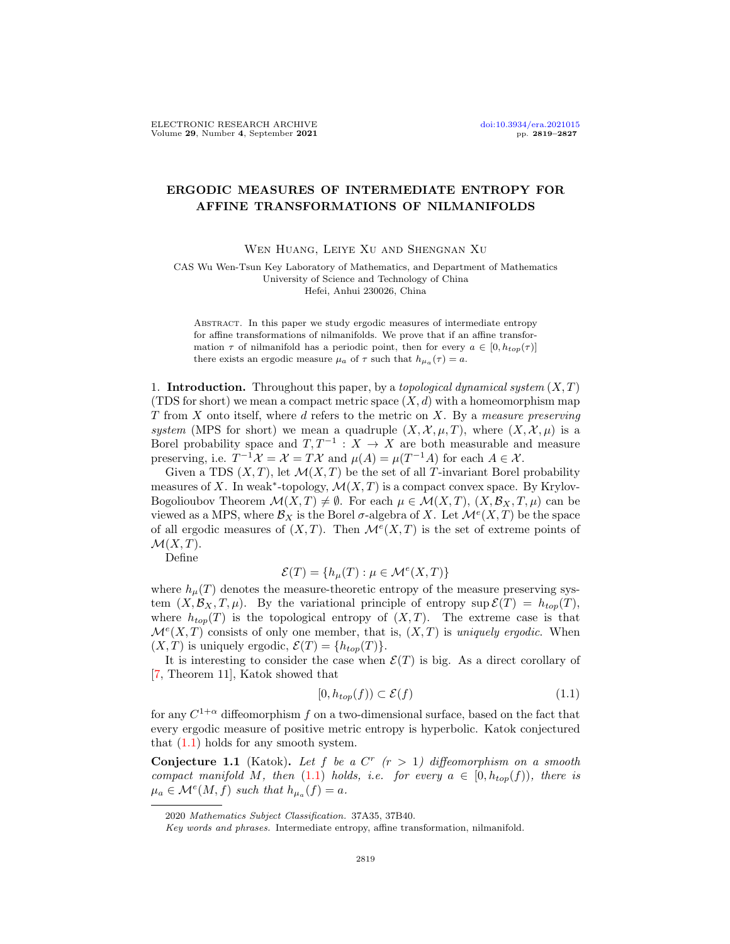## ERGODIC MEASURES OF INTERMEDIATE ENTROPY FOR AFFINE TRANSFORMATIONS OF NILMANIFOLDS

Wen Huang, Leiye Xu and Shengnan Xu

CAS Wu Wen-Tsun Key Laboratory of Mathematics, and Department of Mathematics University of Science and Technology of China Hefei, Anhui 230026, China

Abstract. In this paper we study ergodic measures of intermediate entropy for affine transformations of nilmanifolds. We prove that if an affine transformation  $\tau$  of nilmanifold has a periodic point, then for every  $a \in [0, h_{top}(\tau)]$ there exists an ergodic measure  $\mu_a$  of  $\tau$  such that  $h_{\mu_a}(\tau) = a$ .

1. **Introduction.** Throughout this paper, by a topological dynamical system  $(X, T)$ (TDS for short) we mean a compact metric space  $(X, d)$  with a homeomorphism map T from X onto itself, where d refers to the metric on X. By a measure preserving system (MPS for short) we mean a quadruple  $(X, \mathcal{X}, \mu, T)$ , where  $(X, \mathcal{X}, \mu)$  is a Borel probability space and  $T, T^{-1}: X \to X$  are both measurable and measure preserving, i.e.  $T^{-1} \mathcal{X} = \mathcal{X} = T\mathcal{X}$  and  $\mu(A) = \mu(T^{-1}A)$  for each  $A \in \mathcal{X}$ .

Given a TDS  $(X, T)$ , let  $\mathcal{M}(X, T)$  be the set of all T-invariant Borel probability measures of X. In weak<sup>\*</sup>-topology,  $\mathcal{M}(X,T)$  is a compact convex space. By Krylov-Bogolioubov Theorem  $\mathcal{M}(X,T) \neq \emptyset$ . For each  $\mu \in \mathcal{M}(X,T)$ ,  $(X,\mathcal{B}_X,T,\mu)$  can be viewed as a MPS, where  $\mathcal{B}_X$  is the Borel  $\sigma$ -algebra of X. Let  $\mathcal{M}^e(X,T)$  be the space of all ergodic measures of  $(X, T)$ . Then  $\mathcal{M}^e(X, T)$  is the set of extreme points of  $\mathcal{M}(X,T)$ .

Define

$$
\mathcal{E}(T) = \{ h_{\mu}(T) : \mu \in \mathcal{M}^{e}(X, T) \}
$$

where  $h_{\mu}(T)$  denotes the measure-theoretic entropy of the measure preserving system  $(X, \mathcal{B}_X, T, \mu)$ . By the variational principle of entropy sup  $\mathcal{E}(T) = h_{top}(T)$ , where  $h_{top}(T)$  is the topological entropy of  $(X, T)$ . The extreme case is that  $\mathcal{M}^{e}(X,T)$  consists of only one member, that is,  $(X,T)$  is uniquely ergodic. When  $(X, T)$  is uniquely ergodic,  $\mathcal{E}(T) = \{h_{top}(T)\}.$ 

It is interesting to consider the case when  $\mathcal{E}(T)$  is big. As a direct corollary of [\[7,](#page-8-0) Theorem 11], Katok showed that

<span id="page-0-0"></span>
$$
[0, h_{top}(f)) \subset \mathcal{E}(f) \tag{1.1}
$$

for any  $C^{1+\alpha}$  diffeomorphism f on a two-dimensional surface, based on the fact that every ergodic measure of positive metric entropy is hyperbolic. Katok conjectured that  $(1.1)$  holds for any smooth system.

Conjecture 1.1 (Katok). Let f be a  $C<sup>r</sup>$  ( $r > 1$ ) diffeomorphism on a smooth compact manifold M, then [\(1.1\)](#page-0-0) holds, i.e. for every  $a \in [0, h_{top}(f))$ , there is  $\mu_a \in \mathcal{M}^e(M, f)$  such that  $h_{\mu_a}(f) = a$ .

<sup>2020</sup> Mathematics Subject Classification. 37A35, 37B40.

Key words and phrases. Intermediate entropy, affine transformation, nilmanifold.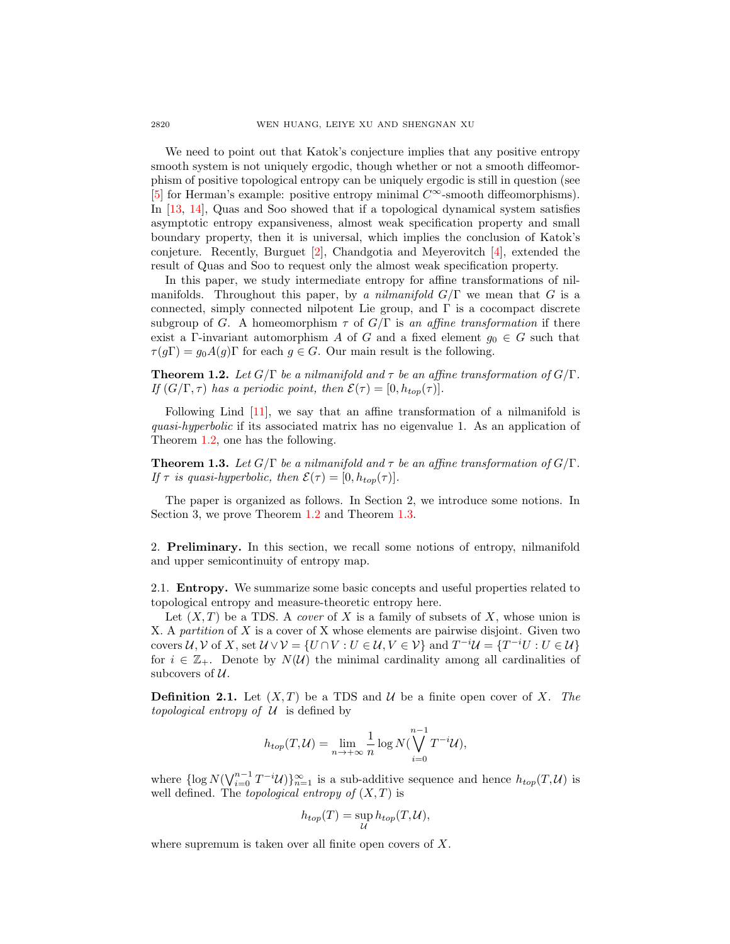We need to point out that Katok's conjecture implies that any positive entropy smooth system is not uniquely ergodic, though whether or not a smooth diffeomorphism of positive topological entropy can be uniquely ergodic is still in question (see [\[5\]](#page-8-1) for Herman's example: positive entropy minimal  $C^{\infty}$ -smooth diffeomorphisms). In [\[13,](#page-8-2) [14\]](#page-8-3), Quas and Soo showed that if a topological dynamical system satisfies asymptotic entropy expansiveness, almost weak specification property and small boundary property, then it is universal, which implies the conclusion of Katok's conjeture. Recently, Burguet [\[2\]](#page-8-4), Chandgotia and Meyerovitch [\[4\]](#page-8-5), extended the result of Quas and Soo to request only the almost weak specification property.

In this paper, we study intermediate entropy for affine transformations of nilmanifolds. Throughout this paper, by a nilmanifold  $G/\Gamma$  we mean that G is a connected, simply connected nilpotent Lie group, and  $\Gamma$  is a cocompact discrete subgroup of G. A homeomorphism  $\tau$  of  $G/\Gamma$  is an affine transformation if there exist a Γ-invariant automorphism A of G and a fixed element  $g_0 \in G$  such that  $\tau(g\Gamma) = g_0A(g)\Gamma$  for each  $g \in G$ . Our main result is the following.

<span id="page-1-0"></span>**Theorem 1.2.** Let  $G/\Gamma$  be a nilmanifold and  $\tau$  be an affine transformation of  $G/\Gamma$ . If  $(G/\Gamma, \tau)$  has a periodic point, then  $\mathcal{E}(\tau) = [0, h_{top}(\tau)].$ 

Following Lind [\[11\]](#page-8-6), we say that an affine transformation of a nilmanifold is quasi-hyperbolic if its associated matrix has no eigenvalue 1. As an application of Theorem [1.2,](#page-1-0) one has the following.

<span id="page-1-1"></span>**Theorem 1.3.** Let  $G/\Gamma$  be a nilmanifold and  $\tau$  be an affine transformation of  $G/\Gamma$ . If  $\tau$  is quasi-hyperbolic, then  $\mathcal{E}(\tau) = [0, h_{top}(\tau)].$ 

The paper is organized as follows. In Section 2, we introduce some notions. In Section 3, we prove Theorem [1.2](#page-1-0) and Theorem [1.3.](#page-1-1)

2. Preliminary. In this section, we recall some notions of entropy, nilmanifold and upper semicontinuity of entropy map.

2.1. Entropy. We summarize some basic concepts and useful properties related to topological entropy and measure-theoretic entropy here.

Let  $(X, T)$  be a TDS. A *cover* of X is a family of subsets of X, whose union is X. A partition of X is a cover of X whose elements are pairwise disjoint. Given two covers  $U, V$  of X, set  $U \vee V = \{U \cap V : U \in U, V \in V\}$  and  $T^{-i}U = \{T^{-i}U : U \in U\}$ for  $i \in \mathbb{Z}_+$ . Denote by  $N(\mathcal{U})$  the minimal cardinality among all cardinalities of subcovers of  $U$ .

**Definition 2.1.** Let  $(X, T)$  be a TDS and U be a finite open cover of X. The topological entropy of  $U$  is defined by

$$
h_{top}(T,\mathcal{U}) = \lim_{n \to +\infty} \frac{1}{n} \log N(\bigvee_{i=0}^{n-1} T^{-i} \mathcal{U}),
$$

where  $\{\log N(\bigvee_{i=0}^{n-1}T^{-i}\mathcal{U})\}_{n=1}^{\infty}$  is a sub-additive sequence and hence  $h_{top}(T,\mathcal{U})$  is well defined. The *topological entropy of*  $(X, T)$  is

$$
h_{top}(T) = \sup_{\mathcal{U}} h_{top}(T, \mathcal{U}),
$$

where supremum is taken over all finite open covers of X.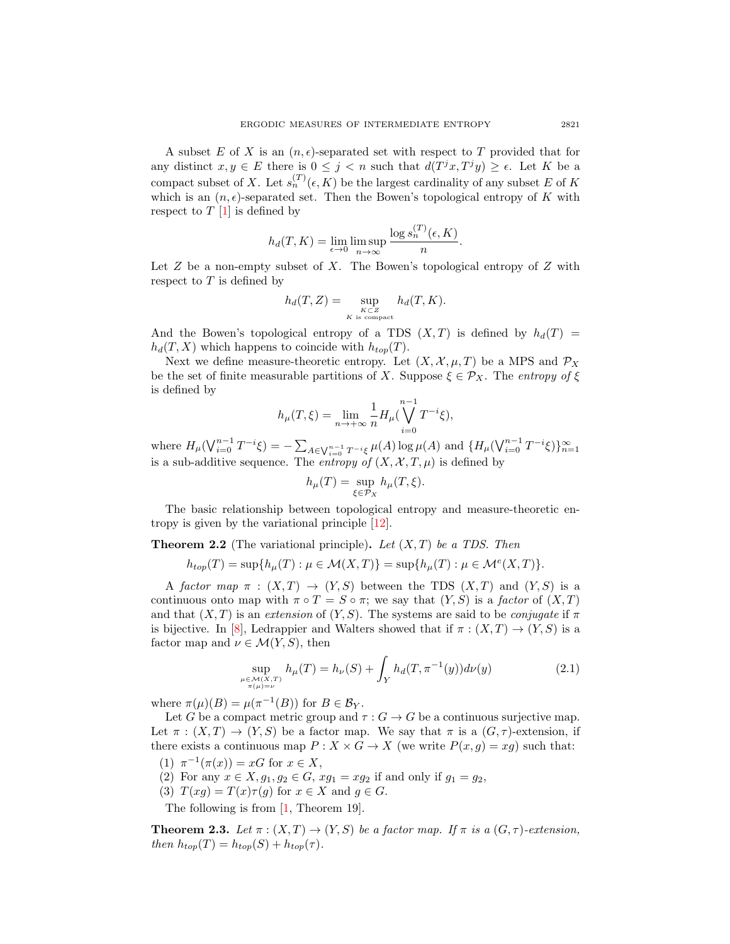A subset E of X is an  $(n, \epsilon)$ -separated set with respect to T provided that for any distinct  $x, y \in E$  there is  $0 \leq j < n$  such that  $d(T^{j}x, T^{j}y) \geq \epsilon$ . Let K be a compact subset of X. Let  $s_n^{(T)}(\epsilon, K)$  be the largest cardinality of any subset E of K which is an  $(n, \epsilon)$ -separated set. Then the Bowen's topological entropy of K with respect to  $T \left[ 1 \right]$  is defined by

$$
h_d(T, K) = \lim_{\epsilon \to 0} \limsup_{n \to \infty} \frac{\log s_n^{(T)}(\epsilon, K)}{n}.
$$

Let  $Z$  be a non-empty subset of  $X$ . The Bowen's topological entropy of  $Z$  with respect to  $T$  is defined by

$$
h_d(T, Z) = \sup_{\substack{K \subset Z \\ K \text{ is compact}}} h_d(T, K).
$$

And the Bowen's topological entropy of a TDS  $(X, T)$  is defined by  $h_d(T)$  =  $h_d(T, X)$  which happens to coincide with  $h_{top}(T)$ .

Next we define measure-theoretic entropy. Let  $(X, \mathcal{X}, \mu, T)$  be a MPS and  $\mathcal{P}_X$ be the set of finite measurable partitions of X. Suppose  $\xi \in \mathcal{P}_X$ . The entropy of  $\xi$ is defined by

$$
h_{\mu}(T,\xi) = \lim_{n \to +\infty} \frac{1}{n} H_{\mu}(\bigvee_{i=0}^{n-1} T^{-i}\xi),
$$

where  $H_{\mu}(\bigvee_{i=0}^{n-1}T^{-i}\xi) = -\sum_{A\in\bigvee_{i=0}^{n-1}T^{-i}\xi}\mu(A)\log\mu(A)$  and  $\{H_{\mu}(\bigvee_{i=0}^{n-1}T^{-i}\xi)\}_{n=1}^{\infty}$ is a sub-additive sequence. The entropy of  $(X, \mathcal{X}, T, \mu)$  is defined by

<span id="page-2-0"></span>
$$
h_{\mu}(T) = \sup_{\xi \in \mathcal{P}_X} h_{\mu}(T, \xi).
$$

The basic relationship between topological entropy and measure-theoretic entropy is given by the variational principle [\[12\]](#page-8-8).

<span id="page-2-1"></span>**Theorem 2.2** (The variational principle). Let  $(X, T)$  be a TDS. Then

$$
h_{top}(T) = \sup\{h_{\mu}(T) : \mu \in \mathcal{M}(X,T)\} = \sup\{h_{\mu}(T) : \mu \in \mathcal{M}^{e}(X,T)\}.
$$

A factor map  $\pi : (X,T) \to (Y,S)$  between the TDS  $(X,T)$  and  $(Y,S)$  is a continuous onto map with  $\pi \circ T = S \circ \pi$ ; we say that  $(Y, S)$  is a factor of  $(X, T)$ and that  $(X, T)$  is an extension of  $(Y, S)$ . The systems are said to be conjugate if  $\pi$ is bijective. In [\[8\]](#page-8-9), Ledrappier and Walters showed that if  $\pi : (X,T) \to (Y,S)$  is a factor map and  $\nu \in \mathcal{M}(Y, S)$ , then

$$
\sup_{\mu \in \mathcal{M}(X,T) \atop \pi(\mu) = \nu} h_{\mu}(T) = h_{\nu}(S) + \int_{Y} h_d(T, \pi^{-1}(y)) d\nu(y)
$$
\n(2.1)

where  $\pi(\mu)(B) = \mu(\pi^{-1}(B))$  for  $B \in \mathcal{B}_Y$ .

Let G be a compact metric group and  $\tau : G \to G$  be a continuous surjective map. Let  $\pi : (X,T) \to (Y,S)$  be a factor map. We say that  $\pi$  is a  $(G,\tau)$ -extension, if there exists a continuous map  $P: X \times G \to X$  (we write  $P(x,g) = xg$ ) such that:

- (1)  $\pi^{-1}(\pi(x)) = xG$  for  $x \in X$ ,
- (2) For any  $x \in X, g_1, g_2 \in G$ ,  $xg_1 = xg_2$  if and only if  $g_1 = g_2$ ,
- (3)  $T(xg) = T(x)\tau(g)$  for  $x \in X$  and  $g \in G$ .

The following is from [\[1,](#page-8-7) Theorem 19].

**Theorem 2.3.** Let  $\pi$  :  $(X,T) \to (Y,S)$  be a factor map. If  $\pi$  is a  $(G,\tau)$ -extension, then  $h_{top}(T) = h_{top}(S) + h_{top}(\tau)$ .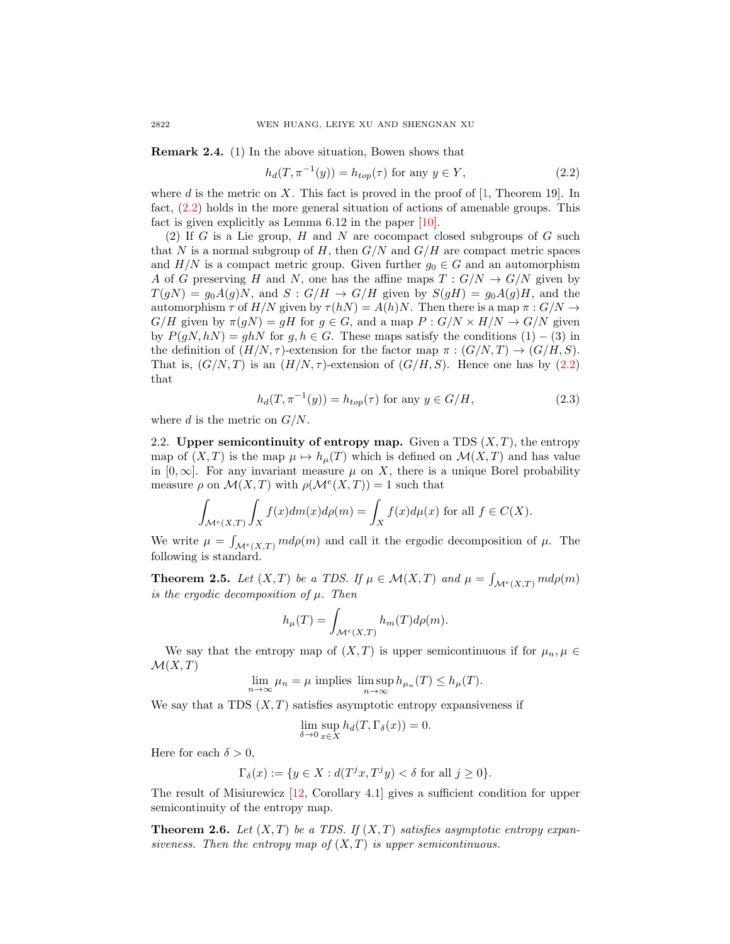<span id="page-3-2"></span>Remark 2.4. (1) In the above situation, Bowen shows that

<span id="page-3-0"></span>
$$
h_d(T, \pi^{-1}(y)) = h_{top}(\tau) \text{ for any } y \in Y,
$$
\n
$$
(2.2)
$$

where d is the metric on X. This fact is proved in the proof of  $[1,$  Theorem 19. In fact, [\(2.2\)](#page-3-0) holds in the more general situation of actions of amenable groups. This fact is given explicitly as Lemma 6.12 in the paper [\[10\]](#page-8-10).

(2) If G is a Lie group, H and N are cocompact closed subgroups of G such that N is a normal subgroup of H, then  $G/N$  and  $G/H$  are compact metric spaces and  $H/N$  is a compact metric group. Given further  $g_0 \in G$  and an automorphism A of G preserving H and N, one has the affine maps  $T: G/N \to G/N$  given by  $T(gN) = g_0A(g)N$ , and  $S: G/H \to G/H$  given by  $S(gH) = g_0A(g)H$ , and the automorphism  $\tau$  of  $H/N$  given by  $\tau(hN) = A(h)N$ . Then there is a map  $\pi : G/N \to$  $G/H$  given by  $\pi(qN) = qH$  for  $q \in G$ , and a map  $P : G/N \times H/N \to G/N$  given by  $P(qN, hN) = qhN$  for  $q, h \in G$ . These maps satisfy the conditions  $(1) - (3)$  in the definition of  $(H/N, \tau)$ -extension for the factor map  $\pi : (G/N, T) \to (G/H, S)$ . That is,  $(G/N, T)$  is an  $(H/N, \tau)$ -extension of  $(G/H, S)$ . Hence one has by [\(2.2\)](#page-3-0) that

<span id="page-3-3"></span>
$$
h_d(T, \pi^{-1}(y)) = h_{top}(\tau) \text{ for any } y \in G/H,
$$
\n(2.3)

where d is the metric on  $G/N$ .

2.2. Upper semicontinuity of entropy map. Given a TDS  $(X, T)$ , the entropy map of  $(X, T)$  is the map  $\mu \mapsto h_{\mu}(T)$  which is defined on  $\mathcal{M}(X, T)$  and has value in [0,  $\infty$ ]. For any invariant measure  $\mu$  on X, there is a unique Borel probability measure  $\rho$  on  $\mathcal{M}(X,T)$  with  $\rho(\mathcal{M}^e(X,T))=1$  such that

$$
\int_{\mathcal{M}^e(X,T)} \int_X f(x) dm(x) d\rho(m) = \int_X f(x) d\mu(x)
$$
 for all  $f \in C(X)$ .

We write  $\mu = \int_{\mathcal{M}^e(X,T)} m d\rho(m)$  and call it the ergodic decomposition of  $\mu$ . The following is standard.

<span id="page-3-1"></span>**Theorem 2.5.** Let  $(X, T)$  be a TDS. If  $\mu \in \mathcal{M}(X, T)$  and  $\mu = \int_{\mathcal{M}^e(X,T)} m d\rho(m)$ is the ergodic decomposition of  $\mu$ . Then

$$
h_{\mu}(T) = \int_{\mathcal{M}^e(X,T)} h_m(T) d\rho(m).
$$

We say that the entropy map of  $(X,T)$  is upper semicontinuous if for  $\mu_n, \mu \in$  $\mathcal{M}(X,T)$ 

 $\lim_{n \to \infty} \mu_n = \mu$  implies  $\limsup_{n \to \infty} h_{\mu_n}(T) \le h_{\mu}(T)$ .

We say that a TDS  $(X, T)$  satisfies asymptotic entropy expansiveness if

$$
\lim_{\delta \to 0} \sup_{x \in X} h_d(T, \Gamma_\delta(x)) = 0.
$$

Here for each  $\delta > 0$ ,

$$
\Gamma_{\delta}(x) := \{ y \in X : d(T^j x, T^j y) < \delta \text{ for all } j \ge 0 \}.
$$

The result of Misiurewicz [\[12,](#page-8-8) Corollary 4.1] gives a sufficient condition for upper semicontinuity of the entropy map.

**Theorem 2.6.** Let  $(X, T)$  be a TDS. If  $(X, T)$  satisfies asymptotic entropy expansiveness. Then the entropy map of  $(X, T)$  is upper semicontinuous.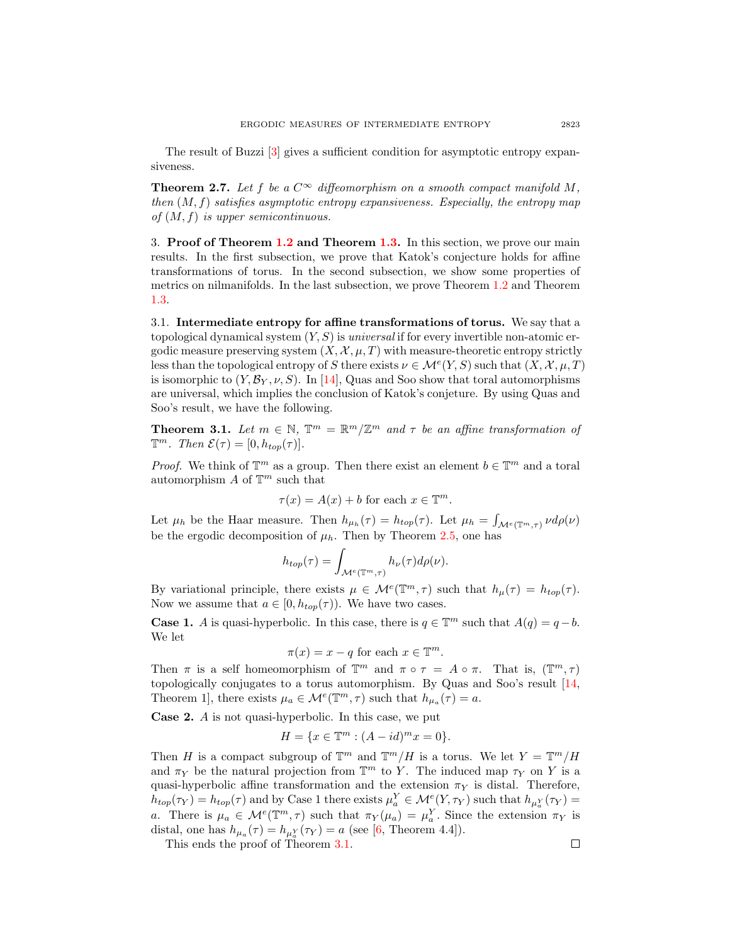The result of Buzzi [\[3\]](#page-8-11) gives a sufficient condition for asymptotic entropy expansiveness.

<span id="page-4-1"></span>**Theorem 2.7.** Let f be a  $C^{\infty}$  diffeomorphism on a smooth compact manifold M, then  $(M, f)$  satisfies asymptotic entropy expansiveness. Especially, the entropy map of  $(M, f)$  is upper semicontinuous.

3. Proof of Theorem [1.2](#page-1-0) and Theorem [1.3.](#page-1-1) In this section, we prove our main results. In the first subsection, we prove that Katok's conjecture holds for affine transformations of torus. In the second subsection, we show some properties of metrics on nilmanifolds. In the last subsection, we prove Theorem [1.2](#page-1-0) and Theorem [1.3.](#page-1-1)

3.1. Intermediate entropy for affine transformations of torus. We say that a topological dynamical system  $(Y, S)$  is universal if for every invertible non-atomic ergodic measure preserving system  $(X, \mathcal{X}, \mu, T)$  with measure-theoretic entropy strictly less than the topological entropy of S there exists  $\nu \in \mathcal{M}^e(Y, S)$  such that  $(X, \mathcal{X}, \mu, T)$ is isomorphic to  $(Y, \mathcal{B}_Y, \nu, S)$ . In [\[14\]](#page-8-3), Quas and Soo show that toral automorphisms are universal, which implies the conclusion of Katok's conjeture. By using Quas and Soo's result, we have the following.

<span id="page-4-0"></span>**Theorem 3.1.** Let  $m \in \mathbb{N}$ ,  $\mathbb{T}^m = \mathbb{R}^m / \mathbb{Z}^m$  and  $\tau$  be an affine transformation of  $\mathbb{T}^m$ . Then  $\mathcal{E}(\tau) = [0, h_{top}(\tau)].$ 

*Proof.* We think of  $\mathbb{T}^m$  as a group. Then there exist an element  $b \in \mathbb{T}^m$  and a toral automorphism  $A$  of  $\mathbb{T}^m$  such that

$$
\tau(x) = A(x) + b \text{ for each } x \in \mathbb{T}^m.
$$

Let  $\mu_h$  be the Haar measure. Then  $h_{\mu_h}(\tau) = h_{top}(\tau)$ . Let  $\mu_h = \int_{\mathcal{M}^e(\mathbb{T}^m, \tau)} \nu d\rho(\nu)$ be the ergodic decomposition of  $\mu_h$ . Then by Theorem [2.5,](#page-3-1) one has

$$
h_{top}(\tau) = \int_{\mathcal{M}^e(\mathbb{T}^m, \tau)} h_{\nu}(\tau) d\rho(\nu).
$$

By variational principle, there exists  $\mu \in \mathcal{M}^e(\mathbb{T}^m, \tau)$  such that  $h_\mu(\tau) = h_{top}(\tau)$ . Now we assume that  $a \in [0, h_{top}(\tau))$ . We have two cases.

**Case 1.** A is quasi-hyperbolic. In this case, there is  $q \in \mathbb{T}^m$  such that  $A(q) = q - b$ . We let

$$
\pi(x) = x - q
$$
 for each  $x \in \mathbb{T}^m$ .

Then  $\pi$  is a self homeomorphism of  $\mathbb{T}^m$  and  $\pi \circ \tau = A \circ \pi$ . That is,  $(\mathbb{T}^m, \tau)$ topologically conjugates to a torus automorphism. By Quas and Soo's result [\[14,](#page-8-3) Theorem 1], there exists  $\mu_a \in \mathcal{M}^e(\mathbb{T}^m, \tau)$  such that  $h_{\mu_a}(\tau) = a$ .

Case 2. A is not quasi-hyperbolic. In this case, we put

$$
H = \{ x \in \mathbb{T}^m : (A - id)^m x = 0 \}.
$$

Then H is a compact subgroup of  $\mathbb{T}^m$  and  $\mathbb{T}^m/H$  is a torus. We let  $Y = \mathbb{T}^m/H$ and  $\pi_Y$  be the natural projection from  $\mathbb{T}^m$  to Y. The induced map  $\tau_Y$  on Y is a quasi-hyperbolic affine transformation and the extension  $\pi_Y$  is distal. Therefore,  $h_{top}(\tau_Y) = h_{top}(\tau)$  and by Case 1 there exists  $\mu_a^Y \in \mathcal{M}^e(Y, \tau_Y)$  such that  $h_{\mu_a^Y}(\tau_Y) =$ a. There is  $\mu_a \in \mathcal{M}^e(\mathbb{T}^m, \tau)$  such that  $\pi_Y(\mu_a) = \mu_a^Y$ . Since the extension  $\pi_Y$  is distal, one has  $h_{\mu_a}(\tau) = h_{\mu_a^Y}(\tau_Y) = a$  (see [\[6,](#page-8-12) Theorem 4.4]).

This ends the proof of Theorem [3.1.](#page-4-0)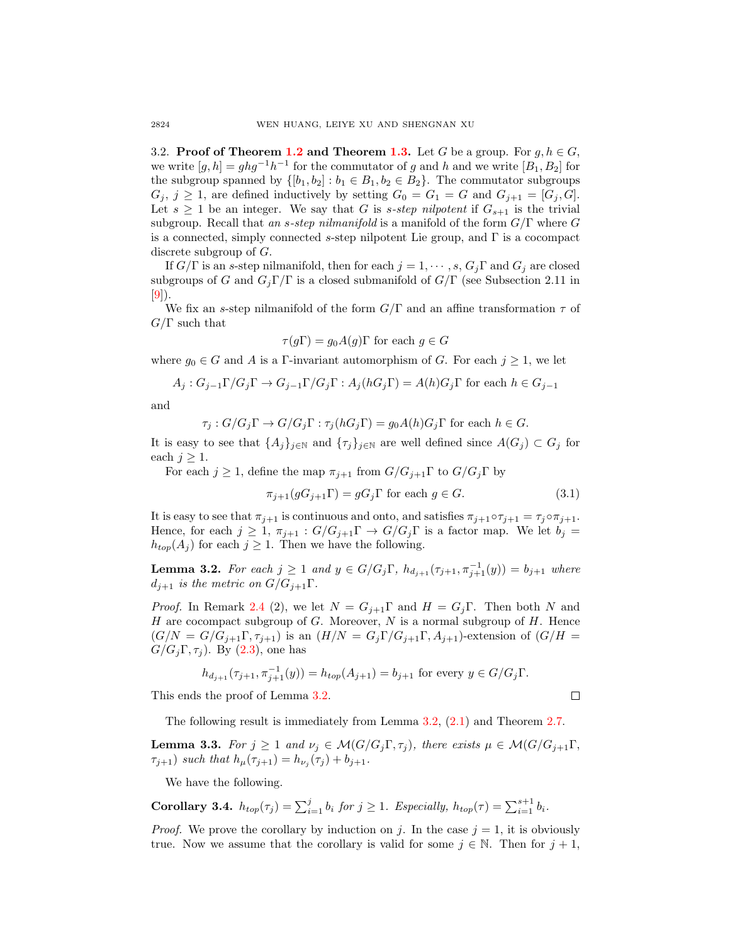3.2. Proof of Theorem [1.2](#page-1-0) and Theorem [1.3.](#page-1-1) Let G be a group. For  $q, h \in G$ , we write  $[g, h] = ghg^{-1}h^{-1}$  for the commutator of g and h and we write  $[B_1, B_2]$  for the subgroup spanned by  $\{[b_1, b_2] : b_1 \in B_1, b_2 \in B_2\}$ . The commutator subgroups  $G_j, j \geq 1$ , are defined inductively by setting  $G_0 = G_1 = G$  and  $G_{j+1} = [G_j, G]$ . Let  $s \geq 1$  be an integer. We say that G is s-step nilpotent if  $G_{s+1}$  is the trivial subgroup. Recall that an s-step nilmanifold is a manifold of the form  $G/\Gamma$  where G is a connected, simply connected s-step nilpotent Lie group, and  $\Gamma$  is a cocompact discrete subgroup of G.

If  $G/\Gamma$  is an s-step nilmanifold, then for each  $j = 1, \dots, s, G_j \Gamma$  and  $G_j$  are closed subgroups of G and  $G_i\Gamma/\Gamma$  is a closed submanifold of  $G/\Gamma$  (see Subsection 2.11 in [\[9\]](#page-8-13)).

We fix an s-step nilmanifold of the form  $G/\Gamma$  and an affine transformation  $\tau$  of  $G/\Gamma$  such that

$$
\tau(g\Gamma) = g_0 A(g)\Gamma
$$
 for each  $g \in G$ 

where  $g_0 \in G$  and A is a Γ-invariant automorphism of G. For each  $j \geq 1$ , we let

$$
A_j: G_{j-1}\Gamma/G_j\Gamma \to G_{j-1}\Gamma/G_j\Gamma: A_j(hG_j\Gamma) = A(h)G_j\Gamma \text{ for each } h \in G_{j-1}
$$

and

$$
\tau_j: G/G_j\Gamma \to G/G_j\Gamma: \tau_j(hG_j\Gamma) = g_0A(h)G_j\Gamma \text{ for each } h \in G.
$$

It is easy to see that  $\{A_j\}_{j\in\mathbb{N}}$  and  $\{\tau_j\}_{j\in\mathbb{N}}$  are well defined since  $A(G_j) \subset G_j$  for each  $j \geq 1$ .

For each  $j \geq 1$ , define the map  $\pi_{j+1}$  from  $G/G_{j+1}\Gamma$  to  $G/G_j\Gamma$  by

$$
\pi_{j+1}(gG_{j+1}\Gamma) = gG_j\Gamma \text{ for each } g \in G. \tag{3.1}
$$

It is easy to see that  $\pi_{j+1}$  is continuous and onto, and satisfies  $\pi_{j+1} \circ \tau_{j+1} = \tau_j \circ \pi_{j+1}$ . Hence, for each  $j \geq 1$ ,  $\pi_{j+1} : G/G_{j+1}\Gamma \to G/G_j\Gamma$  is a factor map. We let  $b_j =$  $h_{top}(A_i)$  for each  $j \geq 1$ . Then we have the following.

<span id="page-5-0"></span>**Lemma 3.2.** For each  $j \ge 1$  and  $y \in G/G_j \Gamma$ ,  $h_{d_{j+1}}(\tau_{j+1}, \pi_{j+1}^{-1}(y)) = b_{j+1}$  where  $d_{i+1}$  is the metric on  $G/G_{i+1}\Gamma$ .

*Proof.* In Remark [2.4](#page-3-2) (2), we let  $N = G_{j+1}\Gamma$  and  $H = G_j\Gamma$ . Then both N and H are cocompact subgroup of  $G$ . Moreover,  $N$  is a normal subgroup of  $H$ . Hence  $(G/N = G/G_{i+1}\Gamma, \tau_{i+1})$  is an  $(H/N = G_i\Gamma/G_{i+1}\Gamma, A_{i+1})$ -extension of  $(G/H = G_1\Gamma, A_{i+1})$  $G/G_i\Gamma, \tau_i$ ). By [\(2.3\)](#page-3-3), one has

$$
h_{d_{j+1}}(\tau_{j+1}, \pi_{j+1}^{-1}(y)) = h_{top}(A_{j+1}) = b_{j+1}
$$
 for every  $y \in G/G_j \Gamma$ .

This ends the proof of Lemma [3.2.](#page-5-0)

The following result is immediately from Lemma [3.2,](#page-5-0) [\(2.1\)](#page-2-0) and Theorem [2.7.](#page-4-1)

<span id="page-5-2"></span>**Lemma 3.3.** For  $j \geq 1$  and  $\nu_j \in \mathcal{M}(G/G_j\Gamma, \tau_j)$ , there exists  $\mu \in \mathcal{M}(G/G_{j+1}\Gamma)$ ,  $\tau_{j+1}$ ) such that  $h_{\mu}(\tau_{j+1}) = h_{\nu_j}(\tau_j) + b_{j+1}$ .

We have the following.

<span id="page-5-3"></span>**Corollary 3.4.**  $h_{top}(\tau_j) = \sum_{i=1}^j b_i$  for  $j \geq 1$ . Especially,  $h_{top}(\tau) = \sum_{i=1}^{s+1} b_i$ .

*Proof.* We prove the corollary by induction on j. In the case  $j = 1$ , it is obviously true. Now we assume that the corollary is valid for some  $j \in \mathbb{N}$ . Then for  $j + 1$ ,

<span id="page-5-1"></span>
$$
\Box
$$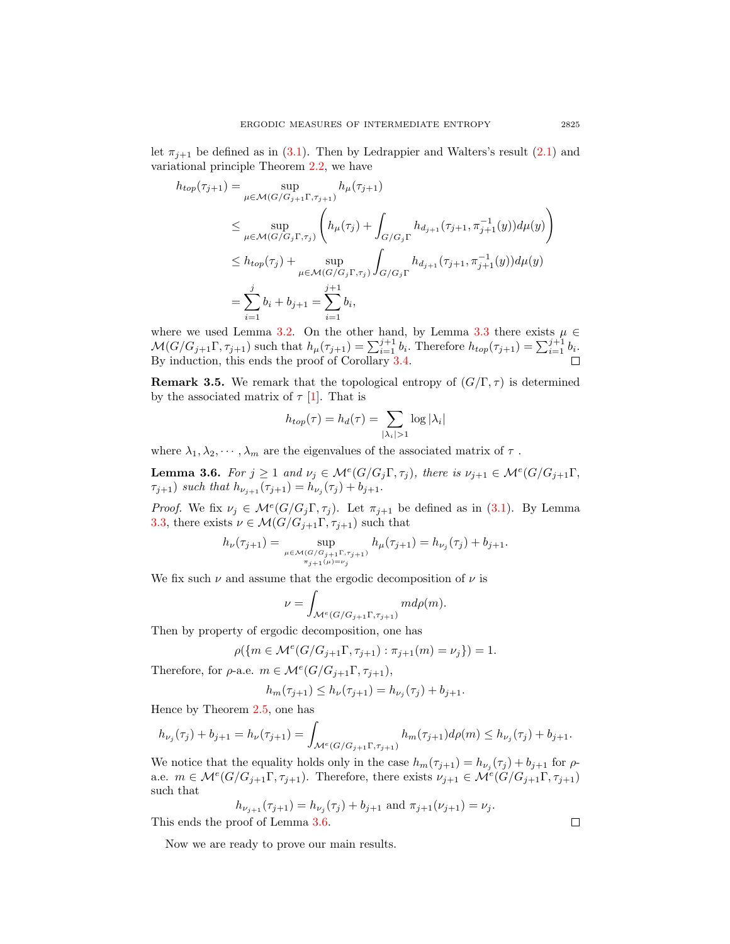let  $\pi_{i+1}$  be defined as in [\(3.1\)](#page-5-1). Then by Ledrappier and Walters's result [\(2.1\)](#page-2-0) and variational principle Theorem [2.2,](#page-2-1) we have

$$
h_{top}(\tau_{j+1}) = \sup_{\mu \in \mathcal{M}(G/G_{j+1}\Gamma, \tau_{j+1})} h_{\mu}(\tau_{j+1})
$$
  
\n
$$
\leq \sup_{\mu \in \mathcal{M}(G/G_{j}\Gamma, \tau_{j})} \left( h_{\mu}(\tau_{j}) + \int_{G/G_{j}\Gamma} h_{d_{j+1}}(\tau_{j+1}, \pi_{j+1}^{-1}(y)) d\mu(y) \right)
$$
  
\n
$$
\leq h_{top}(\tau_{j}) + \sup_{\mu \in \mathcal{M}(G/G_{j}\Gamma, \tau_{j})} \int_{G/G_{j}\Gamma} h_{d_{j+1}}(\tau_{j+1}, \pi_{j+1}^{-1}(y)) d\mu(y)
$$
  
\n
$$
= \sum_{i=1}^{j} b_{i} + b_{j+1} = \sum_{i=1}^{j+1} b_{i},
$$

where we used Lemma [3.2.](#page-5-0) On the other hand, by Lemma [3.3](#page-5-2) there exists  $\mu \in$  $\mathcal{M}(G/G_{j+1}\Gamma, \tau_{j+1})$  such that  $h_\mu(\tau_{j+1}) = \sum_{i=1}^{j+1} b_i$ . Therefore  $h_{top}(\tau_{j+1}) = \sum_{i=1}^{j+1} b_i$ . By induction, this ends the proof of Corollary [3.4.](#page-5-3)

**Remark 3.5.** We remark that the topological entropy of  $(G/\Gamma, \tau)$  is determined by the associated matrix of  $\tau$  [\[1\]](#page-8-7). That is

$$
h_{top}(\tau) = h_d(\tau) = \sum_{|\lambda_i| > 1} \log |\lambda_i|
$$

where  $\lambda_1, \lambda_2, \cdots, \lambda_m$  are the eigenvalues of the associated matrix of  $\tau$ .

<span id="page-6-0"></span>**Lemma 3.6.** For  $j \geq 1$  and  $\nu_j \in \mathcal{M}^e(G/G_j\Gamma, \tau_j)$ , there is  $\nu_{j+1} \in \mathcal{M}^e(G/G_{j+1}\Gamma, \tau_j)$  $\tau_{j+1}$ ) such that  $h_{\nu_{j+1}}(\tau_{j+1}) = h_{\nu_j}(\tau_j) + b_{j+1}.$ 

*Proof.* We fix  $\nu_j \in \mathcal{M}^e(G/G_j\Gamma, \tau_j)$ . Let  $\pi_{j+1}$  be defined as in [\(3.1\)](#page-5-1). By Lemma [3.3,](#page-5-2) there exists  $\nu \in \mathcal{M}(G/G_{j+1}\Gamma, \tau_{j+1})$  such that

$$
h_{\nu}(\tau_{j+1}) = \sup_{\mu \in \mathcal{M}(G/G_{j+1}\Gamma, \tau_{j+1}) \atop \pi_{j+1}(\mu) = \nu_j} h_{\mu}(\tau_{j+1}) = h_{\nu_j}(\tau_j) + b_{j+1}.
$$

We fix such  $\nu$  and assume that the ergodic decomposition of  $\nu$  is

$$
\nu = \int_{\mathcal{M}^e(G/G_{j+1}\Gamma, \tau_{j+1})} m d\rho(m).
$$

Then by property of ergodic decomposition, one has

$$
\rho(\{m \in \mathcal{M}^e(G/G_{j+1}\Gamma, \tau_{j+1}) : \pi_{j+1}(m) = \nu_j\}) = 1.
$$

Therefore, for  $\rho$ -a.e.  $m \in \mathcal{M}^e(G/G_{j+1}\Gamma, \tau_{j+1}),$ 

$$
h_m(\tau_{j+1}) \le h_{\nu}(\tau_{j+1}) = h_{\nu_j}(\tau_j) + b_{j+1}.
$$

Hence by Theorem [2.5,](#page-3-1) one has

$$
h_{\nu_j}(\tau_j) + b_{j+1} = h_{\nu}(\tau_{j+1}) = \int_{\mathcal{M}^e(G/G_{j+1}\Gamma, \tau_{j+1})} h_m(\tau_{j+1}) d\rho(m) \le h_{\nu_j}(\tau_j) + b_{j+1}.
$$

We notice that the equality holds only in the case  $h_m(\tau_{j+1}) = h_{\nu_j}(\tau_j) + b_{j+1}$  for  $\rho$ a.e.  $m \in \mathcal{M}^e(G/G_{j+1}\Gamma, \tau_{j+1})$ . Therefore, there exists  $\nu_{j+1} \in \mathcal{M}^e(G/G_{j+1}\Gamma, \tau_{j+1})$ such that

$$
h_{\nu_{j+1}}(\tau_{j+1}) = h_{\nu_j}(\tau_j) + b_{j+1} \text{ and } \pi_{j+1}(\nu_{j+1}) = \nu_j.
$$
  
proof of Lemma 3.6

This ends the proof of Lemma [3.6.](#page-6-0)

Now we are ready to prove our main results.

 $\Box$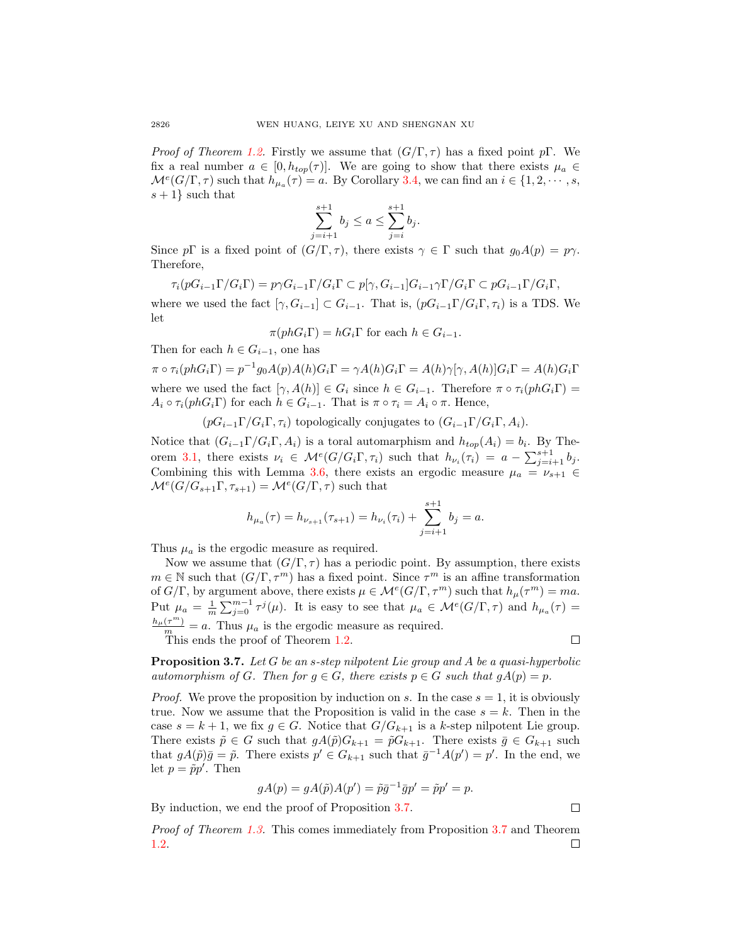*Proof of Theorem [1.2.](#page-1-0)* Firstly we assume that  $(G/\Gamma, \tau)$  has a fixed point pΓ. We fix a real number  $a \in [0, h_{ton}(\tau)]$ . We are going to show that there exists  $\mu_a \in$  $\mathcal{M}^{e}(G/\Gamma,\tau)$  such that  $h_{\mu_a}(\tau) = a$ . By Corollary [3.4,](#page-5-3) we can find an  $i \in \{1,2,\cdots,s,$  $s+1$ } such that

$$
\sum_{j=i+1}^{s+1} b_j \le a \le \sum_{j=i}^{s+1} b_j.
$$

Since pΓ is a fixed point of  $(G/\Gamma, \tau)$ , there exists  $\gamma \in \Gamma$  such that  $g_0A(p) = p\gamma$ . Therefore,

$$
\tau_i(pG_{i-1}\Gamma/G_i\Gamma) = p\gamma G_{i-1}\Gamma/G_i\Gamma \subset p[\gamma, G_{i-1}]G_{i-1}\gamma\Gamma/G_i\Gamma \subset pG_{i-1}\Gamma/G_i\Gamma,
$$

where we used the fact  $[\gamma, G_{i-1}] \subset G_{i-1}$ . That is,  $(pG_{i-1}\Gamma/G_i\Gamma, \tau_i)$  is a TDS. We let

$$
\pi(phG_i\Gamma) = hG_i\Gamma \text{ for each } h \in G_{i-1}.
$$

Then for each  $h \in G_{i-1}$ , one has

 $\pi \circ \tau_i (phG_i\Gamma) = p^{-1}g_0A(p)A(h)G_i\Gamma = \gamma A(h)G_i\Gamma = A(h)\gamma[\gamma,A(h)]G_i\Gamma = A(h)G_i\Gamma$ where we used the fact  $[\gamma, A(h)] \in G_i$  since  $h \in G_{i-1}$ . Therefore  $\pi \circ \tau_i(phG_i\Gamma)$  $A_i \circ \tau_i(phG_i\Gamma)$  for each  $h \in G_{i-1}$ . That is  $\pi \circ \tau_i = A_i \circ \pi$ . Hence,

 $(pG_{i-1}\Gamma/G_i\Gamma,\tau_i)$  topologically conjugates to  $(G_{i-1}\Gamma/G_i\Gamma,A_i)$ .

Notice that  $(G_{i-1}\Gamma/G_i\Gamma, A_i)$  is a toral automarphism and  $h_{top}(A_i) = b_i$ . By The-orem [3.1,](#page-4-0) there exists  $\nu_i \in \mathcal{M}^e(G/G_i\Gamma, \tau_i)$  such that  $h_{\nu_i}(\tau_i) = a - \sum_{j=i+1}^{s+1} b_j$ . Combining this with Lemma [3.6,](#page-6-0) there exists an ergodic measure  $\mu_a = \nu_{s+1} \in$  $\mathcal{M}^e(G/G_{s+1}\Gamma,\tau_{s+1}) = \mathcal{M}^e(G/\Gamma,\tau)$  such that

$$
h_{\mu_a}(\tau) = h_{\nu_{s+1}}(\tau_{s+1}) = h_{\nu_i}(\tau_i) + \sum_{j=i+1}^{s+1} b_j = a.
$$

Thus  $\mu_a$  is the ergodic measure as required.

Now we assume that  $(G/\Gamma, \tau)$  has a periodic point. By assumption, there exists  $m \in \mathbb{N}$  such that  $(G/\Gamma, \tau^m)$  has a fixed point. Since  $\tau^m$  is an affine transformation of  $G/\Gamma$ , by argument above, there exists  $\mu \in \mathcal{M}^e(G/\Gamma, \tau^m)$  such that  $h_\mu(\tau^m) = ma$ . Put  $\mu_a = \frac{1}{m} \sum_{j=0}^{m-1} \tau^j(\mu)$ . It is easy to see that  $\mu_a \in \mathcal{M}^e(G/\Gamma, \tau)$  and  $h_{\mu_a}(\tau) =$  $\frac{h_\mu(\tau^m)}{m} = a$ . Thus  $\mu_a$  is the ergodic measure as required.

This ends the proof of Theorem [1.2.](#page-1-0)

$$
\qquad \qquad \Box
$$

<span id="page-7-0"></span>**Proposition 3.7.** Let G be an s-step nilpotent Lie group and A be a quasi-hyperbolic automorphism of G. Then for  $g \in G$ , there exists  $p \in G$  such that  $gA(p) = p$ .

*Proof.* We prove the proposition by induction on s. In the case  $s = 1$ , it is obviously true. Now we assume that the Proposition is valid in the case  $s = k$ . Then in the case  $s = k + 1$ , we fix  $g \in G$ . Notice that  $G/G_{k+1}$  is a k-step nilpotent Lie group. There exists  $\tilde{p} \in G$  such that  $gA(\tilde{p})G_{k+1} = \tilde{p}G_{k+1}$ . There exists  $\bar{g} \in G_{k+1}$  such that  $gA(\tilde{p})\bar{g} = \tilde{p}$ . There exists  $p' \in G_{k+1}$  such that  $\bar{g}^{-1}A(p') = p'$ . In the end, we let  $p = \tilde{p}p'$ . Then

$$
gA(p) = gA(\tilde{p})A(p') = \tilde{p}\bar{g}^{-1}\bar{g}p' = \tilde{p}p' = p.
$$

By induction, we end the proof of Proposition [3.7.](#page-7-0)

 $\Box$ 

Proof of Theorem [1.3.](#page-1-1) This comes immediately from Proposition [3.7](#page-7-0) and Theorem [1.2.](#page-1-0) $\Box$